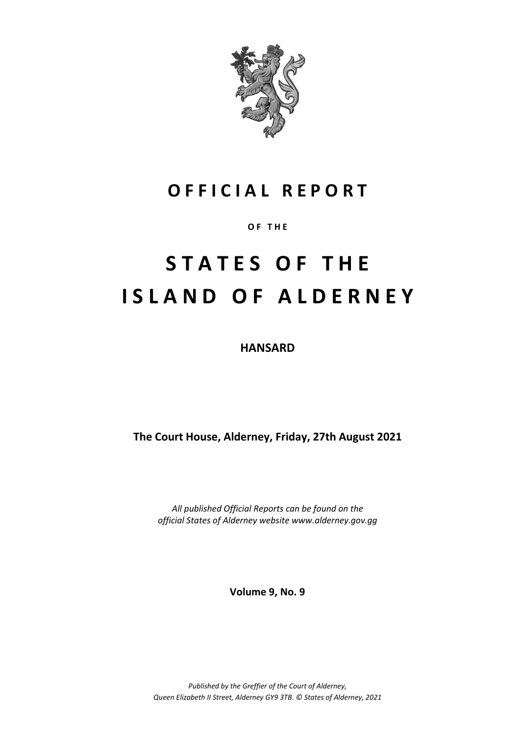

## **O F F I C I A L R E P O R T**

**O F T H E**

# **S T A T E S O F T H E I S L A N D O F A L D E R N E Y**

**HANSARD**

**The Court House, Alderney, Friday, 27th August 2021**

*All published Official Reports can be found on the official States of Alderney website www.alderney.gov.gg*

**Volume 9, No. 9**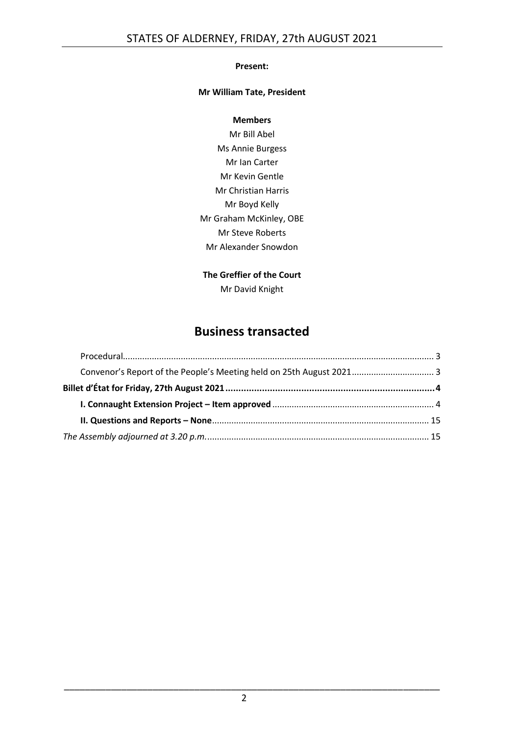#### **Present:**

#### **Mr William Tate, President**

#### **Members**

Mr Bill Abel Ms Annie Burgess Mr Ian Carter Mr Kevin Gentle Mr Christian Harris Mr Boyd Kelly Mr Graham McKinley, OBE Mr Steve Roberts Mr Alexander Snowdon

#### **The Greffier of the Court** Mr David Knight

## **Business transacted**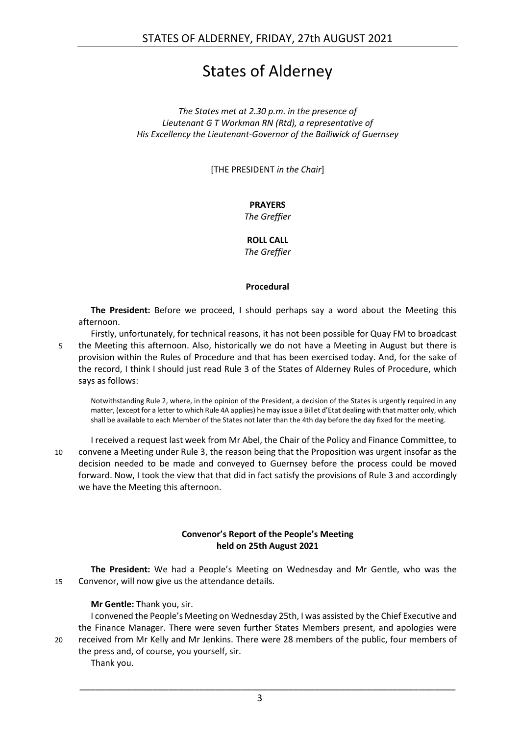## States of Alderney

*The States met at 2.30 p.m. in the presence of Lieutenant G T Workman RN (Rtd), a representative of His Excellency the Lieutenant-Governor of the Bailiwick of Guernsey*

[THE PRESIDENT *in the Chair*]

#### **PRAYERS**

*The Greffier*

**ROLL CALL** *The Greffier*

#### **Procedural**

<span id="page-2-0"></span>**The President:** Before we proceed, I should perhaps say a word about the Meeting this afternoon.

Firstly, unfortunately, for technical reasons, it has not been possible for Quay FM to broadcast 5 the Meeting this afternoon. Also, historically we do not have a Meeting in August but there is provision within the Rules of Procedure and that has been exercised today. And, for the sake of the record, I think I should just read Rule 3 of the States of Alderney Rules of Procedure, which says as follows:

Notwithstanding Rule 2, where, in the opinion of the President, a decision of the States is urgently required in any matter, (except for a letter to which Rule 4A applies) he may issue a Billet d'Etat dealing with that matter only, which shall be available to each Member of the States not later than the 4th day before the day fixed for the meeting.

I received a request last week from Mr Abel, the Chair of the Policy and Finance Committee, to 10 convene a Meeting under Rule 3, the reason being that the Proposition was urgent insofar as the decision needed to be made and conveyed to Guernsey before the process could be moved forward. Now, I took the view that that did in fact satisfy the provisions of Rule 3 and accordingly we have the Meeting this afternoon.

#### **Convenor's Report of the People's Meeting held on 25th August 2021**

<span id="page-2-1"></span>**The President:** We had a People's Meeting on Wednesday and Mr Gentle, who was the 15 Convenor, will now give us the attendance details.

**Mr Gentle:** Thank you, sir.

I convened the People's Meeting on Wednesday 25th, I was assisted by the Chief Executive and the Finance Manager. There were seven further States Members present, and apologies were 20 received from Mr Kelly and Mr Jenkins. There were 28 members of the public, four members of the press and, of course, you yourself, sir.

Thank you.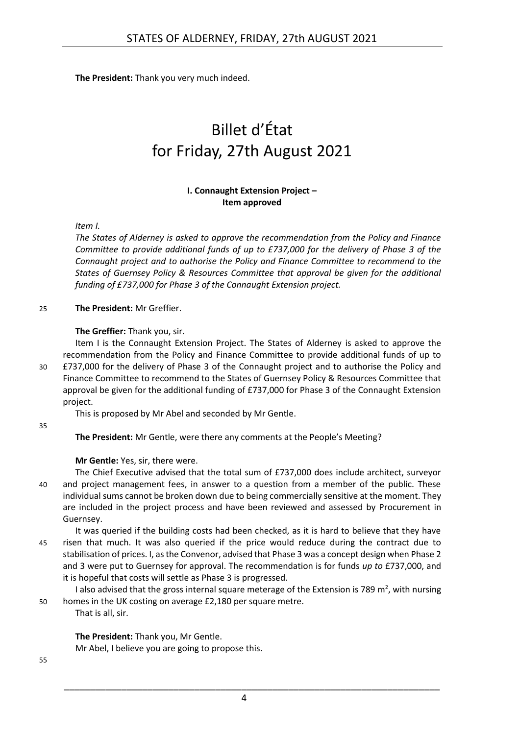<span id="page-3-0"></span>**The President:** Thank you very much indeed.

# Billet d'État for Friday, 27th August 2021

#### **I. Connaught Extension Project – Item approved**

<span id="page-3-1"></span>*Item I.*

*The States of Alderney is asked to approve the recommendation from the Policy and Finance Committee to provide additional funds of up to £737,000 for the delivery of Phase 3 of the Connaught project and to authorise the Policy and Finance Committee to recommend to the States of Guernsey Policy & Resources Committee that approval be given for the additional funding of £737,000 for Phase 3 of the Connaught Extension project.*

#### 25 **The President:** Mr Greffier.

#### **The Greffier:** Thank you, sir.

Item I is the Connaught Extension Project. The States of Alderney is asked to approve the recommendation from the Policy and Finance Committee to provide additional funds of up to 30 £737,000 for the delivery of Phase 3 of the Connaught project and to authorise the Policy and Finance Committee to recommend to the States of Guernsey Policy & Resources Committee that approval be given for the additional funding of £737,000 for Phase 3 of the Connaught Extension project.

This is proposed by Mr Abel and seconded by Mr Gentle.

35

**The President:** Mr Gentle, were there any comments at the People's Meeting?

#### **Mr Gentle:** Yes, sir, there were.

- The Chief Executive advised that the total sum of £737,000 does include architect, surveyor 40 and project management fees, in answer to a question from a member of the public. These individual sums cannot be broken down due to being commercially sensitive at the moment. They are included in the project process and have been reviewed and assessed by Procurement in Guernsey.
- It was queried if the building costs had been checked, as it is hard to believe that they have 45 risen that much. It was also queried if the price would reduce during the contract due to stabilisation of prices. I, as the Convenor, advised that Phase 3 was a concept design when Phase 2 and 3 were put to Guernsey for approval. The recommendation is for funds *up to* £737,000, and it is hopeful that costs will settle as Phase 3 is progressed.

I also advised that the gross internal square meterage of the Extension is 789  $m^2$ , with nursing 50 homes in the UK costing on average £2,180 per square metre.

That is all, sir.

**The President:** Thank you, Mr Gentle. Mr Abel, I believe you are going to propose this.

55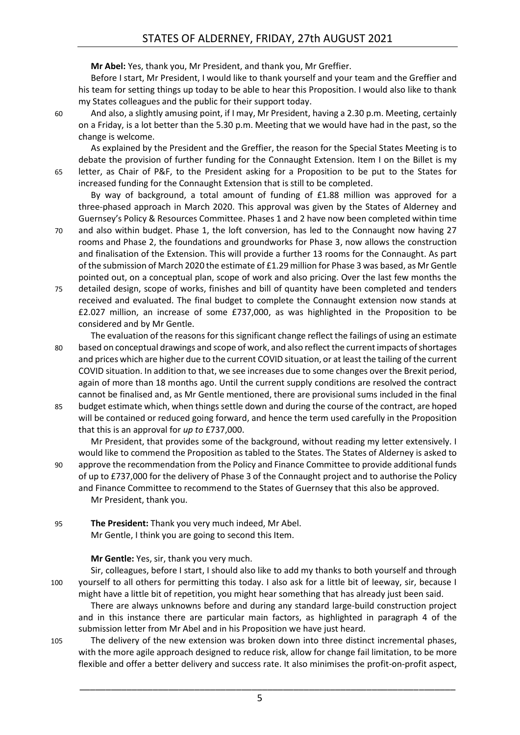**Mr Abel:** Yes, thank you, Mr President, and thank you, Mr Greffier.

Before I start, Mr President, I would like to thank yourself and your team and the Greffier and his team for setting things up today to be able to hear this Proposition. I would also like to thank my States colleagues and the public for their support today.

60 And also, a slightly amusing point, if I may, Mr President, having a 2.30 p.m. Meeting, certainly on a Friday, is a lot better than the 5.30 p.m. Meeting that we would have had in the past, so the change is welcome.

As explained by the President and the Greffier, the reason for the Special States Meeting is to debate the provision of further funding for the Connaught Extension. Item I on the Billet is my 65 letter, as Chair of P&F, to the President asking for a Proposition to be put to the States for increased funding for the Connaught Extension that is still to be completed.

By way of background, a total amount of funding of £1.88 million was approved for a three-phased approach in March 2020. This approval was given by the States of Alderney and Guernsey's Policy & Resources Committee. Phases 1 and 2 have now been completed within time

70 and also within budget. Phase 1, the loft conversion, has led to the Connaught now having 27 rooms and Phase 2, the foundations and groundworks for Phase 3, now allows the construction and finalisation of the Extension. This will provide a further 13 rooms for the Connaught. As part of the submission of March 2020 the estimate of £1.29 million for Phase 3 was based, as Mr Gentle pointed out, on a conceptual plan, scope of work and also pricing. Over the last few months the

- 75 detailed design, scope of works, finishes and bill of quantity have been completed and tenders received and evaluated. The final budget to complete the Connaught extension now stands at £2.027 million, an increase of some £737,000, as was highlighted in the Proposition to be considered and by Mr Gentle.
- The evaluation of the reasons for this significant change reflect the failings of using an estimate 80 based on conceptual drawings and scope of work, and also reflect the current impacts of shortages and prices which are higher due to the current COVID situation, or at least the tailing of the current COVID situation. In addition to that, we see increases due to some changes over the Brexit period, again of more than 18 months ago. Until the current supply conditions are resolved the contract cannot be finalised and, as Mr Gentle mentioned, there are provisional sums included in the final
- 85 budget estimate which, when things settle down and during the course of the contract, are hoped will be contained or reduced going forward, and hence the term used carefully in the Proposition that this is an approval for *up to* £737,000.

Mr President, that provides some of the background, without reading my letter extensively. I would like to commend the Proposition as tabled to the States. The States of Alderney is asked to 90 approve the recommendation from the Policy and Finance Committee to provide additional funds of up to £737,000 for the delivery of Phase 3 of the Connaught project and to authorise the Policy and Finance Committee to recommend to the States of Guernsey that this also be approved. Mr President, thank you.

95 **The President:** Thank you very much indeed, Mr Abel. Mr Gentle, I think you are going to second this Item.

**Mr Gentle:** Yes, sir, thank you very much.

Sir, colleagues, before I start, I should also like to add my thanks to both yourself and through 100 yourself to all others for permitting this today. I also ask for a little bit of leeway, sir, because I might have a little bit of repetition, you might hear something that has already just been said.

There are always unknowns before and during any standard large-build construction project and in this instance there are particular main factors, as highlighted in paragraph 4 of the submission letter from Mr Abel and in his Proposition we have just heard.

105 The delivery of the new extension was broken down into three distinct incremental phases, with the more agile approach designed to reduce risk, allow for change fail limitation, to be more flexible and offer a better delivery and success rate. It also minimises the profit-on-profit aspect,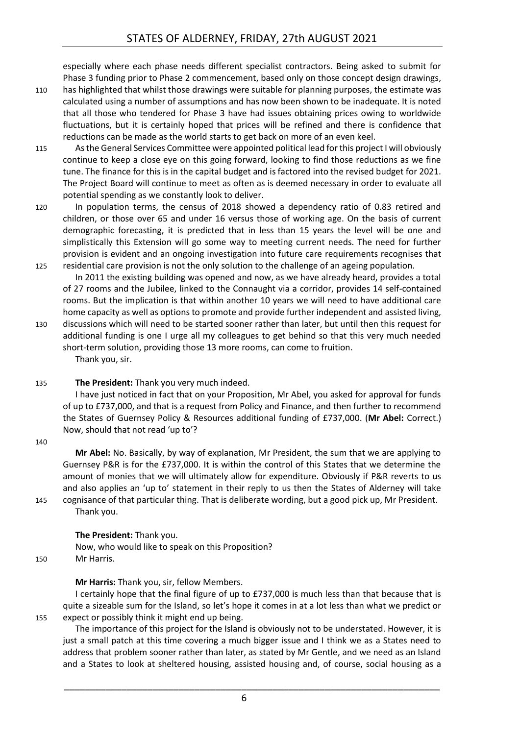especially where each phase needs different specialist contractors. Being asked to submit for Phase 3 funding prior to Phase 2 commencement, based only on those concept design drawings,

- 110 has highlighted that whilst those drawings were suitable for planning purposes, the estimate was calculated using a number of assumptions and has now been shown to be inadequate. It is noted that all those who tendered for Phase 3 have had issues obtaining prices owing to worldwide fluctuations, but it is certainly hoped that prices will be refined and there is confidence that reductions can be made as the world starts to get back on more of an even keel.
- 115 As the General Services Committee were appointed political lead for this project I will obviously continue to keep a close eye on this going forward, looking to find those reductions as we fine tune. The finance for this is in the capital budget and is factored into the revised budget for 2021. The Project Board will continue to meet as often as is deemed necessary in order to evaluate all potential spending as we constantly look to deliver.
- 120 In population terms, the census of 2018 showed a dependency ratio of 0.83 retired and children, or those over 65 and under 16 versus those of working age. On the basis of current demographic forecasting, it is predicted that in less than 15 years the level will be one and simplistically this Extension will go some way to meeting current needs. The need for further provision is evident and an ongoing investigation into future care requirements recognises that 125 residential care provision is not the only solution to the challenge of an ageing population.

In 2011 the existing building was opened and now, as we have already heard, provides a total of 27 rooms and the Jubilee, linked to the Connaught via a corridor, provides 14 self-contained rooms. But the implication is that within another 10 years we will need to have additional care home capacity as well as options to promote and provide further independent and assisted living,

- 130 discussions which will need to be started sooner rather than later, but until then this request for additional funding is one I urge all my colleagues to get behind so that this very much needed short-term solution, providing those 13 more rooms, can come to fruition. Thank you, sir.
- 135 **The President:** Thank you very much indeed.

I have just noticed in fact that on your Proposition, Mr Abel, you asked for approval for funds of up to £737,000, and that is a request from Policy and Finance, and then further to recommend the States of Guernsey Policy & Resources additional funding of £737,000. (**Mr Abel:** Correct.) Now, should that not read 'up to'?

140

**Mr Abel:** No. Basically, by way of explanation, Mr President, the sum that we are applying to Guernsey P&R is for the £737,000. It is within the control of this States that we determine the amount of monies that we will ultimately allow for expenditure. Obviously if P&R reverts to us and also applies an 'up to' statement in their reply to us then the States of Alderney will take 145 cognisance of that particular thing. That is deliberate wording, but a good pick up, Mr President. Thank you.

#### **The President:** Thank you.

Now, who would like to speak on this Proposition? 150 Mr Harris.

**Mr Harris:** Thank you, sir, fellow Members. I certainly hope that the final figure of up to £737,000 is much less than that because that is quite a sizeable sum for the Island, so let's hope it comes in at a lot less than what we predict or 155 expect or possibly think it might end up being.

The importance of this project for the Island is obviously not to be understated. However, it is just a small patch at this time covering a much bigger issue and I think we as a States need to address that problem sooner rather than later, as stated by Mr Gentle, and we need as an Island and a States to look at sheltered housing, assisted housing and, of course, social housing as a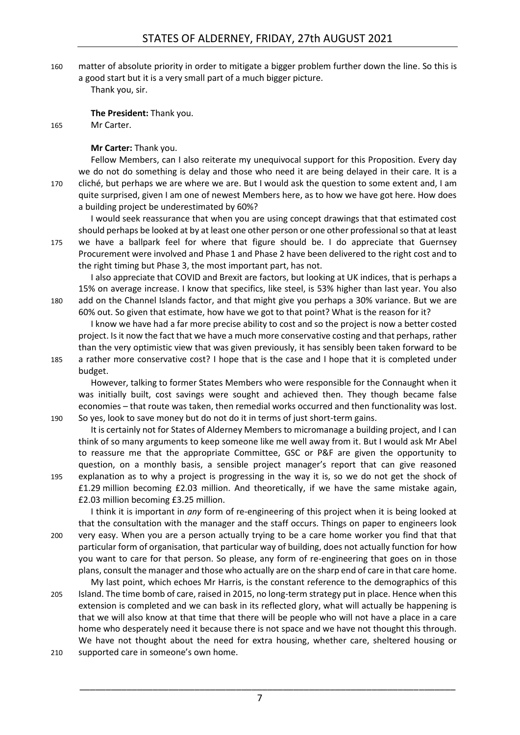160 matter of absolute priority in order to mitigate a bigger problem further down the line. So this is a good start but it is a very small part of a much bigger picture.

Thank you, sir.

**The President:** Thank you.

165 Mr Carter.

**Mr Carter:** Thank you.

Fellow Members, can I also reiterate my unequivocal support for this Proposition. Every day we do not do something is delay and those who need it are being delayed in their care. It is a 170 cliché, but perhaps we are where we are. But I would ask the question to some extent and, I am quite surprised, given I am one of newest Members here, as to how we have got here. How does a building project be underestimated by 60%?

I would seek reassurance that when you are using concept drawings that that estimated cost should perhaps be looked at by at least one other person or one other professional so that at least 175 we have a ballpark feel for where that figure should be. I do appreciate that Guernsey Procurement were involved and Phase 1 and Phase 2 have been delivered to the right cost and to the right timing but Phase 3, the most important part, has not.

I also appreciate that COVID and Brexit are factors, but looking at UK indices, that is perhaps a 15% on average increase. I know that specifics, like steel, is 53% higher than last year. You also 180 add on the Channel Islands factor, and that might give you perhaps a 30% variance. But we are 60% out. So given that estimate, how have we got to that point? What is the reason for it?

I know we have had a far more precise ability to cost and so the project is now a better costed project. Is it now the fact that we have a much more conservative costing and that perhaps, rather than the very optimistic view that was given previously, it has sensibly been taken forward to be 185 a rather more conservative cost? I hope that is the case and I hope that it is completed under budget.

However, talking to former States Members who were responsible for the Connaught when it was initially built, cost savings were sought and achieved then. They though became false economies – that route was taken, then remedial works occurred and then functionality was lost. 190 So yes, look to save money but do not do it in terms of just short-term gains.

It is certainly not for States of Alderney Members to micromanage a building project, and I can think of so many arguments to keep someone like me well away from it. But I would ask Mr Abel to reassure me that the appropriate Committee, GSC or P&F are given the opportunity to question, on a monthly basis, a sensible project manager's report that can give reasoned 195 explanation as to why a project is progressing in the way it is, so we do not get the shock of £1.29 million becoming £2.03 million. And theoretically, if we have the same mistake again,

£2.03 million becoming £3.25 million.

I think it is important in *any* form of re-engineering of this project when it is being looked at that the consultation with the manager and the staff occurs. Things on paper to engineers look 200 very easy. When you are a person actually trying to be a care home worker you find that that particular form of organisation, that particular way of building, does not actually function for how you want to care for that person. So please, any form of re-engineering that goes on in those plans, consult the manager and those who actually are on the sharp end of care in that care home.

My last point, which echoes Mr Harris, is the constant reference to the demographics of this 205 Island. The time bomb of care, raised in 2015, no long-term strategy put in place. Hence when this extension is completed and we can bask in its reflected glory, what will actually be happening is that we will also know at that time that there will be people who will not have a place in a care home who desperately need it because there is not space and we have not thought this through. We have not thought about the need for extra housing, whether care, sheltered housing or

210 supported care in someone's own home.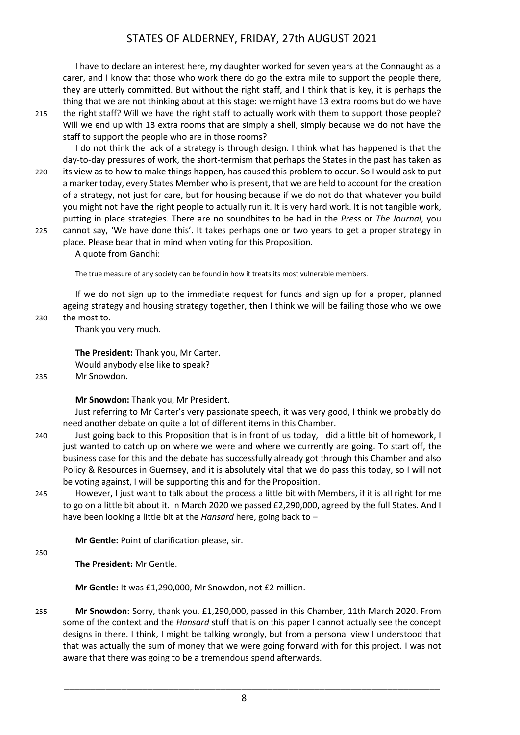I have to declare an interest here, my daughter worked for seven years at the Connaught as a carer, and I know that those who work there do go the extra mile to support the people there, they are utterly committed. But without the right staff, and I think that is key, it is perhaps the thing that we are not thinking about at this stage: we might have 13 extra rooms but do we have 215 the right staff? Will we have the right staff to actually work with them to support those people?

Will we end up with 13 extra rooms that are simply a shell, simply because we do not have the staff to support the people who are in those rooms? I do not think the lack of a strategy is through design. I think what has happened is that the

day-to-day pressures of work, the short-termism that perhaps the States in the past has taken as 220 its view as to how to make things happen, has caused this problem to occur. So I would ask to put a marker today, every States Member who is present, that we are held to account for the creation of a strategy, not just for care, but for housing because if we do not do that whatever you build you might not have the right people to actually run it. It is very hard work. It is not tangible work, putting in place strategies. There are no soundbites to be had in the *Press* or *The Journal*, you 225 cannot say, 'We have done this'. It takes perhaps one or two years to get a proper strategy in

place. Please bear that in mind when voting for this Proposition. A quote from Gandhi:

The true measure of any society can be found in how it treats its most vulnerable members.

If we do not sign up to the immediate request for funds and sign up for a proper, planned ageing strategy and housing strategy together, then I think we will be failing those who we owe 230 the most to.

Thank you very much.

**The President:** Thank you, Mr Carter. Would anybody else like to speak?

235 Mr Snowdon.

**Mr Snowdon:** Thank you, Mr President.

Just referring to Mr Carter's very passionate speech, it was very good, I think we probably do need another debate on quite a lot of different items in this Chamber.

- 240 Just going back to this Proposition that is in front of us today, I did a little bit of homework, I just wanted to catch up on where we were and where we currently are going. To start off, the business case for this and the debate has successfully already got through this Chamber and also Policy & Resources in Guernsey, and it is absolutely vital that we do pass this today, so I will not be voting against, I will be supporting this and for the Proposition.
- 245 However, I just want to talk about the process a little bit with Members, if it is all right for me to go on a little bit about it. In March 2020 we passed £2,290,000, agreed by the full States. And I have been looking a little bit at the *Hansard* here, going back to –

**Mr Gentle:** Point of clarification please, sir.

250

**The President:** Mr Gentle.

**Mr Gentle:** It was £1,290,000, Mr Snowdon, not £2 million.

255 **Mr Snowdon:** Sorry, thank you, £1,290,000, passed in this Chamber, 11th March 2020. From some of the context and the *Hansard* stuff that is on this paper I cannot actually see the concept designs in there. I think, I might be talking wrongly, but from a personal view I understood that that was actually the sum of money that we were going forward with for this project. I was not aware that there was going to be a tremendous spend afterwards.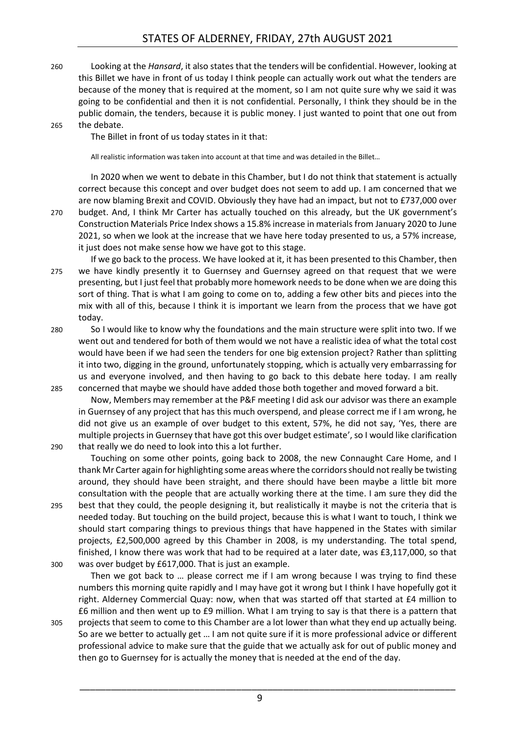260 Looking at the *Hansard*, it also states that the tenders will be confidential. However, looking at this Billet we have in front of us today I think people can actually work out what the tenders are because of the money that is required at the moment, so I am not quite sure why we said it was going to be confidential and then it is not confidential. Personally, I think they should be in the public domain, the tenders, because it is public money. I just wanted to point that one out from

#### 265 the debate.

The Billet in front of us today states in it that:

All realistic information was taken into account at that time and was detailed in the Billet…

In 2020 when we went to debate in this Chamber, but I do not think that statement is actually correct because this concept and over budget does not seem to add up. I am concerned that we are now blaming Brexit and COVID. Obviously they have had an impact, but not to £737,000 over 270 budget. And, I think Mr Carter has actually touched on this already, but the UK government's Construction Materials Price Index shows a 15.8% increase in materials from January 2020 to June 2021, so when we look at the increase that we have here today presented to us, a 57% increase, it just does not make sense how we have got to this stage.

- If we go back to the process. We have looked at it, it has been presented to this Chamber, then 275 we have kindly presently it to Guernsey and Guernsey agreed on that request that we were presenting, but I just feel that probably more homework needs to be done when we are doing this sort of thing. That is what I am going to come on to, adding a few other bits and pieces into the mix with all of this, because I think it is important we learn from the process that we have got today.
- 280 So I would like to know why the foundations and the main structure were split into two. If we went out and tendered for both of them would we not have a realistic idea of what the total cost would have been if we had seen the tenders for one big extension project? Rather than splitting it into two, digging in the ground, unfortunately stopping, which is actually very embarrassing for us and everyone involved, and then having to go back to this debate here today. I am really 285 concerned that maybe we should have added those both together and moved forward a bit.

Now, Members may remember at the P&F meeting I did ask our advisor was there an example in Guernsey of any project that has this much overspend, and please correct me if I am wrong, he did not give us an example of over budget to this extent, 57%, he did not say, 'Yes, there are multiple projects in Guernsey that have got this over budget estimate', so I would like clarification 290 that really we do need to look into this a lot further.

Touching on some other points, going back to 2008, the new Connaught Care Home, and I thank Mr Carter again for highlighting some areas where the corridors should not really be twisting around, they should have been straight, and there should have been maybe a little bit more consultation with the people that are actually working there at the time. I am sure they did the 295 best that they could, the people designing it, but realistically it maybe is not the criteria that is

- needed today. But touching on the build project, because this is what I want to touch, I think we should start comparing things to previous things that have happened in the States with similar projects, £2,500,000 agreed by this Chamber in 2008, is my understanding. The total spend, finished, I know there was work that had to be required at a later date, was £3,117,000, so that 300 was over budget by £617,000. That is just an example.
- Then we got back to … please correct me if I am wrong because I was trying to find these numbers this morning quite rapidly and I may have got it wrong but I think I have hopefully got it right. Alderney Commercial Quay: now, when that was started off that started at £4 million to £6 million and then went up to £9 million. What I am trying to say is that there is a pattern that 305 projects that seem to come to this Chamber are a lot lower than what they end up actually being.
- So are we better to actually get … I am not quite sure if it is more professional advice or different professional advice to make sure that the guide that we actually ask for out of public money and then go to Guernsey for is actually the money that is needed at the end of the day.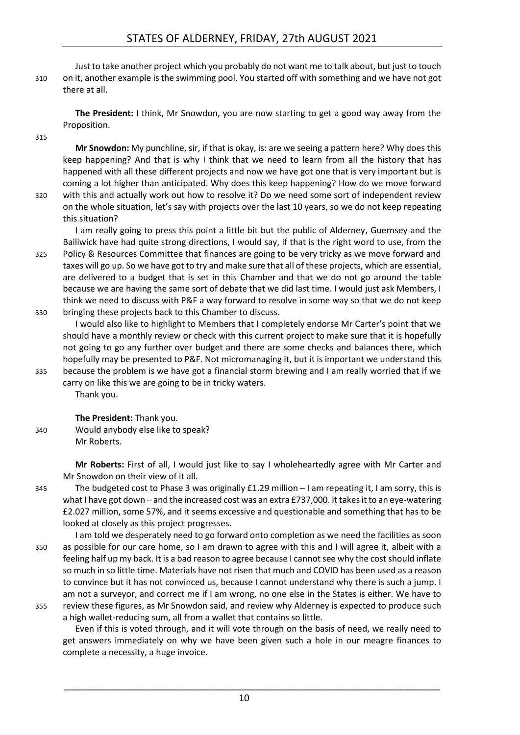### STATES OF ALDERNEY, FRIDAY, 27th AUGUST 2021

Just to take another project which you probably do not want me to talk about, but just to touch 310 on it, another example is the swimming pool. You started off with something and we have not got there at all.

**The President:** I think, Mr Snowdon, you are now starting to get a good way away from the Proposition.

315

**Mr Snowdon:** My punchline, sir, if that is okay, is: are we seeing a pattern here? Why does this keep happening? And that is why I think that we need to learn from all the history that has happened with all these different projects and now we have got one that is very important but is coming a lot higher than anticipated. Why does this keep happening? How do we move forward

320 with this and actually work out how to resolve it? Do we need some sort of independent review on the whole situation, let's say with projects over the last 10 years, so we do not keep repeating this situation?

I am really going to press this point a little bit but the public of Alderney, Guernsey and the Bailiwick have had quite strong directions, I would say, if that is the right word to use, from the

325 Policy & Resources Committee that finances are going to be very tricky as we move forward and taxes will go up. So we have got to try and make sure that all of these projects, which are essential, are delivered to a budget that is set in this Chamber and that we do not go around the table because we are having the same sort of debate that we did last time. I would just ask Members, I think we need to discuss with P&F a way forward to resolve in some way so that we do not keep 330 bringing these projects back to this Chamber to discuss.

I would also like to highlight to Members that I completely endorse Mr Carter's point that we should have a monthly review or check with this current project to make sure that it is hopefully not going to go any further over budget and there are some checks and balances there, which hopefully may be presented to P&F. Not micromanaging it, but it is important we understand this 335 because the problem is we have got a financial storm brewing and I am really worried that if we

carry on like this we are going to be in tricky waters. Thank you.

**The President:** Thank you.

340 Would anybody else like to speak? Mr Roberts.

> **Mr Roberts:** First of all, I would just like to say I wholeheartedly agree with Mr Carter and Mr Snowdon on their view of it all.

- 345 The budgeted cost to Phase 3 was originally £1.29 million I am repeating it, I am sorry, this is what I have got down – and the increased cost was an extra £737,000. It takes it to an eye-watering £2.027 million, some 57%, and it seems excessive and questionable and something that has to be looked at closely as this project progresses.
- I am told we desperately need to go forward onto completion as we need the facilities as soon 350 as possible for our care home, so I am drawn to agree with this and I will agree it, albeit with a feeling half up my back. It is a bad reason to agree because I cannot see why the cost should inflate so much in so little time. Materials have not risen that much and COVID has been used as a reason to convince but it has not convinced us, because I cannot understand why there is such a jump. I am not a surveyor, and correct me if I am wrong, no one else in the States is either. We have to
- 355 review these figures, as Mr Snowdon said, and review why Alderney is expected to produce such a high wallet-reducing sum, all from a wallet that contains so little.

Even if this is voted through, and it will vote through on the basis of need, we really need to get answers immediately on why we have been given such a hole in our meagre finances to complete a necessity, a huge invoice.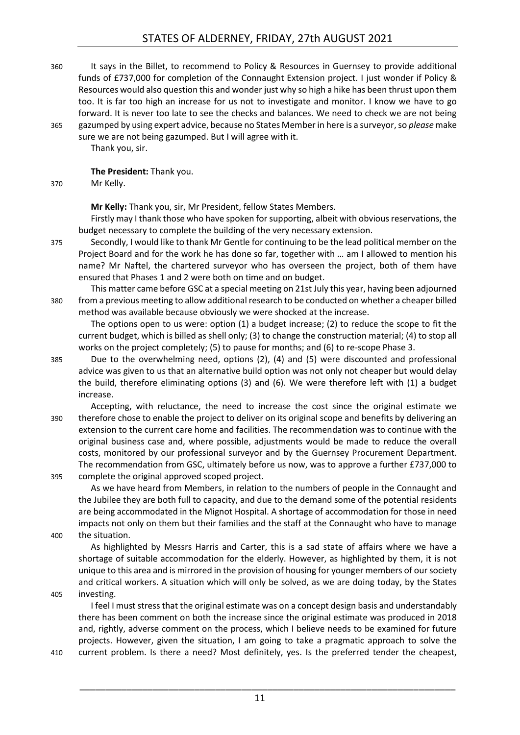360 It says in the Billet, to recommend to Policy & Resources in Guernsey to provide additional funds of £737,000 for completion of the Connaught Extension project. I just wonder if Policy & Resources would also question this and wonder just why so high a hike has been thrust upon them too. It is far too high an increase for us not to investigate and monitor. I know we have to go forward. It is never too late to see the checks and balances. We need to check we are not being 365 gazumped by using expert advice, because no States Member in here is a surveyor,so *please* make

sure we are not being gazumped. But I will agree with it. Thank you, sir.

**The President:** Thank you.

370 Mr Kelly.

**Mr Kelly:** Thank you, sir, Mr President, fellow States Members.

Firstly may I thank those who have spoken for supporting, albeit with obvious reservations, the budget necessary to complete the building of the very necessary extension.

- 375 Secondly, I would like to thank Mr Gentle for continuing to be the lead political member on the Project Board and for the work he has done so far, together with … am I allowed to mention his name? Mr Naftel, the chartered surveyor who has overseen the project, both of them have ensured that Phases 1 and 2 were both on time and on budget.
- This matter came before GSC at a special meeting on 21st July this year, having been adjourned 380 from a previous meeting to allow additional research to be conducted on whether a cheaper billed method was available because obviously we were shocked at the increase.

The options open to us were: option (1) a budget increase; (2) to reduce the scope to fit the current budget, which is billed as shell only; (3) to change the construction material; (4) to stop all works on the project completely; (5) to pause for months; and (6) to re-scope Phase 3.

- 385 Due to the overwhelming need, options (2), (4) and (5) were discounted and professional advice was given to us that an alternative build option was not only not cheaper but would delay the build, therefore eliminating options (3) and (6). We were therefore left with (1) a budget increase.
- Accepting, with reluctance, the need to increase the cost since the original estimate we 390 therefore chose to enable the project to deliver on its original scope and benefits by delivering an extension to the current care home and facilities. The recommendation was to continue with the original business case and, where possible, adjustments would be made to reduce the overall costs, monitored by our professional surveyor and by the Guernsey Procurement Department. The recommendation from GSC, ultimately before us now, was to approve a further £737,000 to 395 complete the original approved scoped project.

As we have heard from Members, in relation to the numbers of people in the Connaught and the Jubilee they are both full to capacity, and due to the demand some of the potential residents are being accommodated in the Mignot Hospital. A shortage of accommodation for those in need impacts not only on them but their families and the staff at the Connaught who have to manage 400 the situation.

As highlighted by Messrs Harris and Carter, this is a sad state of affairs where we have a shortage of suitable accommodation for the elderly. However, as highlighted by them, it is not unique to this area and is mirrored in the provision of housing for younger members of our society and critical workers. A situation which will only be solved, as we are doing today, by the States 405 investing.

I feel I must stress that the original estimate was on a concept design basis and understandably there has been comment on both the increase since the original estimate was produced in 2018 and, rightly, adverse comment on the process, which I believe needs to be examined for future projects. However, given the situation, I am going to take a pragmatic approach to solve the 410 current problem. Is there a need? Most definitely, yes. Is the preferred tender the cheapest,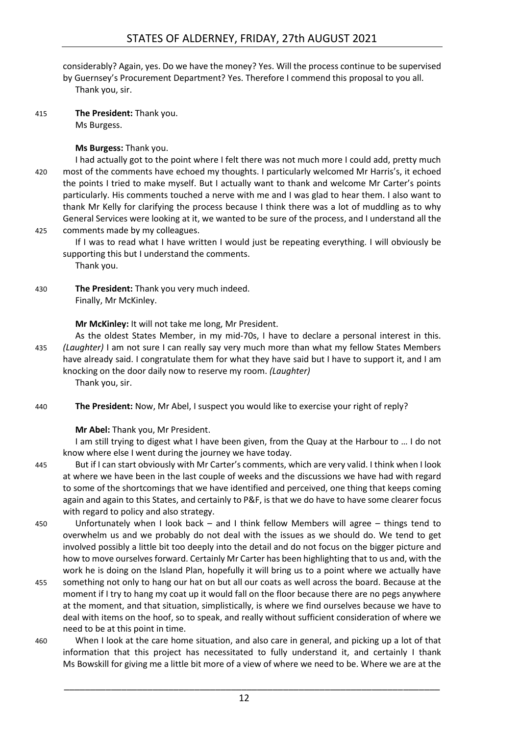considerably? Again, yes. Do we have the money? Yes. Will the process continue to be supervised by Guernsey's Procurement Department? Yes. Therefore I commend this proposal to you all. Thank you, sir.

415 **The President:** Thank you. Ms Burgess.

#### **Ms Burgess:** Thank you.

I had actually got to the point where I felt there was not much more I could add, pretty much 420 most of the comments have echoed my thoughts. I particularly welcomed Mr Harris's, it echoed the points I tried to make myself. But I actually want to thank and welcome Mr Carter's points particularly. His comments touched a nerve with me and I was glad to hear them. I also want to thank Mr Kelly for clarifying the process because I think there was a lot of muddling as to why General Services were looking at it, we wanted to be sure of the process, and I understand all the 425 comments made by my colleagues.

If I was to read what I have written I would just be repeating everything. I will obviously be supporting this but I understand the comments.

- Thank you.
- 430 **The President:** Thank you very much indeed. Finally, Mr McKinley.

**Mr McKinley:** It will not take me long, Mr President.

- As the oldest States Member, in my mid-70s, I have to declare a personal interest in this. 435 *(Laughter)* I am not sure I can really say very much more than what my fellow States Members have already said. I congratulate them for what they have said but I have to support it, and I am knocking on the door daily now to reserve my room. *(Laughter)* Thank you, sir.
- 440 **The President:** Now, Mr Abel, I suspect you would like to exercise your right of reply?

**Mr Abel:** Thank you, Mr President.

I am still trying to digest what I have been given, from the Quay at the Harbour to … I do not know where else I went during the journey we have today.

- 445 But if I can start obviously with Mr Carter's comments, which are very valid. I think when I look at where we have been in the last couple of weeks and the discussions we have had with regard to some of the shortcomings that we have identified and perceived, one thing that keeps coming again and again to this States, and certainly to P&F, is that we do have to have some clearer focus with regard to policy and also strategy.
- 450 Unfortunately when I look back and I think fellow Members will agree things tend to overwhelm us and we probably do not deal with the issues as we should do. We tend to get involved possibly a little bit too deeply into the detail and do not focus on the bigger picture and how to move ourselves forward. Certainly Mr Carter has been highlighting that to us and, with the work he is doing on the Island Plan, hopefully it will bring us to a point where we actually have
- 455 something not only to hang our hat on but all our coats as well across the board. Because at the moment if I try to hang my coat up it would fall on the floor because there are no pegs anywhere at the moment, and that situation, simplistically, is where we find ourselves because we have to deal with items on the hoof, so to speak, and really without sufficient consideration of where we need to be at this point in time.
- 460 When I look at the care home situation, and also care in general, and picking up a lot of that information that this project has necessitated to fully understand it, and certainly I thank Ms Bowskill for giving me a little bit more of a view of where we need to be. Where we are at the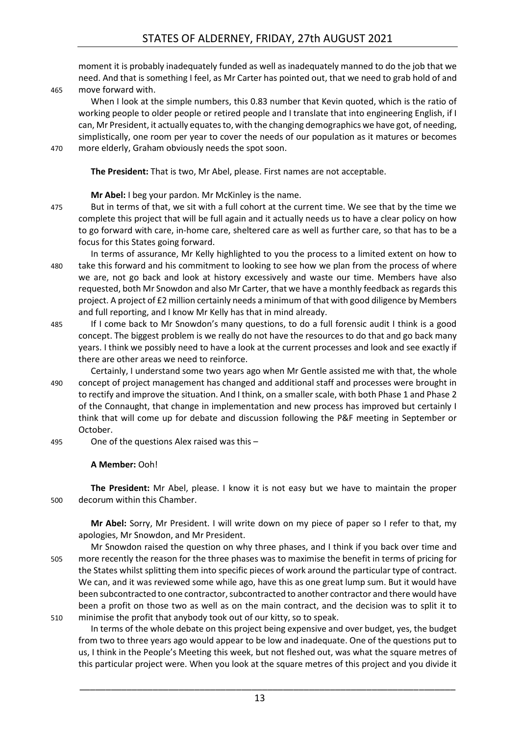moment it is probably inadequately funded as well as inadequately manned to do the job that we need. And that is something I feel, as Mr Carter has pointed out, that we need to grab hold of and 465 move forward with.

- When I look at the simple numbers, this 0.83 number that Kevin quoted, which is the ratio of working people to older people or retired people and I translate that into engineering English, if I can, Mr President, it actually equates to, with the changing demographics we have got, of needing, simplistically, one room per year to cover the needs of our population as it matures or becomes 470 more elderly, Graham obviously needs the spot soon.
- 

**The President:** That is two, Mr Abel, please. First names are not acceptable.

**Mr Abel:** I beg your pardon. Mr McKinley is the name.

- 475 But in terms of that, we sit with a full cohort at the current time. We see that by the time we complete this project that will be full again and it actually needs us to have a clear policy on how to go forward with care, in-home care, sheltered care as well as further care, so that has to be a focus for this States going forward.
- In terms of assurance, Mr Kelly highlighted to you the process to a limited extent on how to 480 take this forward and his commitment to looking to see how we plan from the process of where we are, not go back and look at history excessively and waste our time. Members have also requested, both Mr Snowdon and also Mr Carter, that we have a monthly feedback as regards this project. A project of £2 million certainly needs a minimum of that with good diligence by Members and full reporting, and I know Mr Kelly has that in mind already.
- 485 If I come back to Mr Snowdon's many questions, to do a full forensic audit I think is a good concept. The biggest problem is we really do not have the resources to do that and go back many years. I think we possibly need to have a look at the current processes and look and see exactly if there are other areas we need to reinforce.
- Certainly, I understand some two years ago when Mr Gentle assisted me with that, the whole 490 concept of project management has changed and additional staff and processes were brought in to rectify and improve the situation. And I think, on a smaller scale, with both Phase 1 and Phase 2 of the Connaught, that change in implementation and new process has improved but certainly I think that will come up for debate and discussion following the P&F meeting in September or October.
- 495 One of the questions Alex raised was this –

#### **A Member:** Ooh!

**The President:** Mr Abel, please. I know it is not easy but we have to maintain the proper 500 decorum within this Chamber.

**Mr Abel:** Sorry, Mr President. I will write down on my piece of paper so I refer to that, my apologies, Mr Snowdon, and Mr President.

Mr Snowdon raised the question on why three phases, and I think if you back over time and 505 more recently the reason for the three phases was to maximise the benefit in terms of pricing for the States whilst splitting them into specific pieces of work around the particular type of contract. We can, and it was reviewed some while ago, have this as one great lump sum. But it would have been subcontracted to one contractor, subcontracted to another contractor and there would have been a profit on those two as well as on the main contract, and the decision was to split it to 510 minimise the profit that anybody took out of our kitty, so to speak.

In terms of the whole debate on this project being expensive and over budget, yes, the budget from two to three years ago would appear to be low and inadequate. One of the questions put to us, I think in the People's Meeting this week, but not fleshed out, was what the square metres of this particular project were. When you look at the square metres of this project and you divide it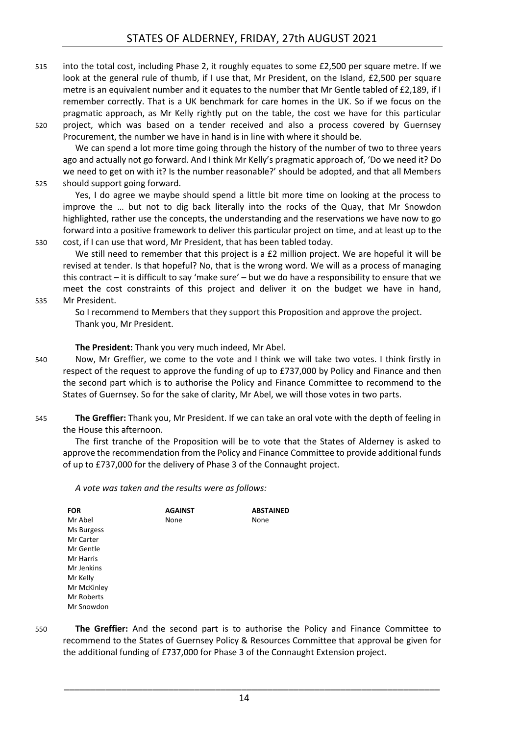515 into the total cost, including Phase 2, it roughly equates to some £2,500 per square metre. If we look at the general rule of thumb, if I use that, Mr President, on the Island, £2,500 per square metre is an equivalent number and it equates to the number that Mr Gentle tabled of £2,189, if I remember correctly. That is a UK benchmark for care homes in the UK. So if we focus on the pragmatic approach, as Mr Kelly rightly put on the table, the cost we have for this particular 520 project, which was based on a tender received and also a process covered by Guernsey

Procurement, the number we have in hand is in line with where it should be.

We can spend a lot more time going through the history of the number of two to three years ago and actually not go forward. And I think Mr Kelly's pragmatic approach of, 'Do we need it? Do we need to get on with it? Is the number reasonable?' should be adopted, and that all Members 525 should support going forward.

Yes, I do agree we maybe should spend a little bit more time on looking at the process to improve the … but not to dig back literally into the rocks of the Quay, that Mr Snowdon highlighted, rather use the concepts, the understanding and the reservations we have now to go forward into a positive framework to deliver this particular project on time, and at least up to the 530 cost, if I can use that word, Mr President, that has been tabled today.

We still need to remember that this project is a £2 million project. We are hopeful it will be revised at tender. Is that hopeful? No, that is the wrong word. We will as a process of managing this contract – it is difficult to say 'make sure' – but we do have a responsibility to ensure that we meet the cost constraints of this project and deliver it on the budget we have in hand,

535 Mr President.

So I recommend to Members that they support this Proposition and approve the project. Thank you, Mr President.

**The President:** Thank you very much indeed, Mr Abel.

- 540 Now, Mr Greffier, we come to the vote and I think we will take two votes. I think firstly in respect of the request to approve the funding of up to £737,000 by Policy and Finance and then the second part which is to authorise the Policy and Finance Committee to recommend to the States of Guernsey. So for the sake of clarity, Mr Abel, we will those votes in two parts.
- 545 **The Greffier:** Thank you, Mr President. If we can take an oral vote with the depth of feeling in the House this afternoon.

The first tranche of the Proposition will be to vote that the States of Alderney is asked to approve the recommendation from the Policy and Finance Committee to provide additional funds of up to £737,000 for the delivery of Phase 3 of the Connaught project.

*A vote was taken and the results were as follows:*

| <b>FOR</b>  | <b>AGAINST</b> | <b>ABSTAINED</b> |
|-------------|----------------|------------------|
| Mr Abel     | None           | None             |
| Ms Burgess  |                |                  |
| Mr Carter   |                |                  |
| Mr Gentle   |                |                  |
| Mr Harris   |                |                  |
| Mr Jenkins  |                |                  |
| Mr Kelly    |                |                  |
| Mr McKinley |                |                  |
| Mr Roberts  |                |                  |
| Mr Snowdon  |                |                  |

550 **The Greffier:** And the second part is to authorise the Policy and Finance Committee to recommend to the States of Guernsey Policy & Resources Committee that approval be given for the additional funding of £737,000 for Phase 3 of the Connaught Extension project.